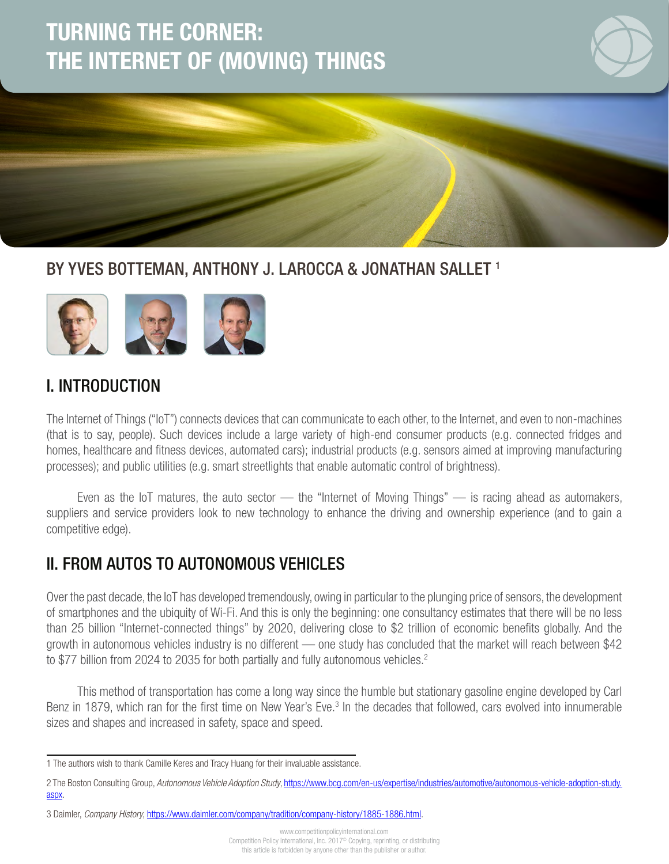# TURNING THE CORNER: THE INTERNET OF (MOVING) THINGS



1

## BY YVES BOTTEMAN, ANTHONY J. LAROCCA & JONATHAN SALLET<sup>1</sup>



### I. INTRODUCTION

The Internet of Things ("IoT") connects devices that can communicate to each other, to the Internet, and even to non-machines (that is to say, people). Such devices include a large variety of high-end consumer products (e.g. connected fridges and homes, healthcare and fitness devices, automated cars); industrial products (e.g. sensors aimed at improving manufacturing processes); and public utilities (e.g. smart streetlights that enable automatic control of brightness).

Even as the IoT matures, the auto sector — the "Internet of Moving Things" — is racing ahead as automakers, suppliers and service providers look to new technology to enhance the driving and ownership experience (and to gain a competitive edge).

### II. FROM AUTOS TO AUTONOMOUS VEHICLES

Over the past decade, the IoT has developed tremendously, owing in particular to the plunging price of sensors, the development of smartphones and the ubiquity of Wi-Fi. And this is only the beginning: one consultancy estimates that there will be no less than 25 billion "Internet-connected things" by 2020, delivering close to \$2 trillion of economic benefits globally. And the growth in autonomous vehicles industry is no different — one study has concluded that the market will reach between \$42 to \$77 billion from 2024 to 2035 for both partially and fully autonomous vehicles.<sup>2</sup>

This method of transportation has come a long way since the humble but stationary gasoline engine developed by Carl Benz in 1879, which ran for the first time on New Year's Eve.<sup>3</sup> In the decades that followed, cars evolved into innumerable sizes and shapes and increased in safety, space and speed.

<sup>1</sup> The authors wish to thank Camille Keres and Tracy Huang for their invaluable assistance.

<sup>2</sup> The Boston Consulting Group, *Autonomous Vehicle Adoption Study*, https://www.bcg.com/en-us/expertise/industries/automotive/autonomous-vehicle-adoption-study. aspx.

<sup>3</sup> Daimler, *Company History*, https://www.daimler.com/company/tradition/company-history/1885-1886.html.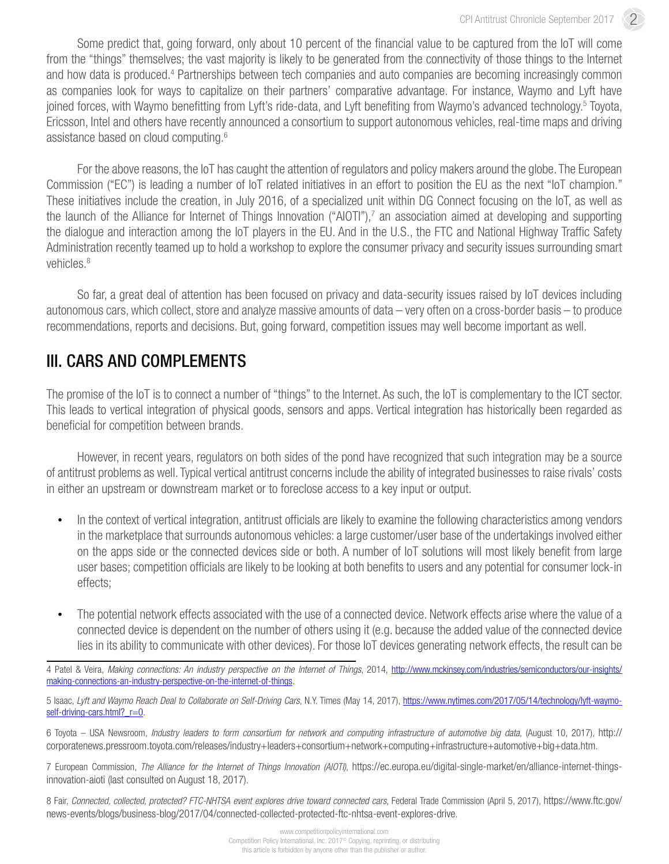Some predict that, going forward, only about 10 percent of the financial value to be captured from the IoT will come from the "things" themselves; the vast majority is likely to be generated from the connectivity of those things to the Internet and how data is produced.<sup>4</sup> Partnerships between tech companies and auto companies are becoming increasingly common as companies look for ways to capitalize on their partners' comparative advantage. For instance, Waymo and Lyft have joined forces, with Waymo benefitting from Lyft's ride-data, and Lyft benefiting from Waymo's advanced technology.<sup>5</sup> Toyota, Ericsson, Intel and others have recently announced a consortium to support autonomous vehicles, real-time maps and driving assistance based on cloud computing.6

For the above reasons, the IoT has caught the attention of regulators and policy makers around the globe. The European Commission ("EC") is leading a number of IoT related initiatives in an effort to position the EU as the next "IoT champion." These initiatives include the creation, in July 2016, of a specialized unit within DG Connect focusing on the IoT, as well as the launch of the Alliance for Internet of Things Innovation ("AIOTI"),<sup>7</sup> an association aimed at developing and supporting the dialogue and interaction among the IoT players in the EU. And in the U.S., the FTC and National Highway Traffic Safety Administration recently teamed up to hold a workshop to explore the consumer privacy and security issues surrounding smart vehicles.<sup>8</sup>

So far, a great deal of attention has been focused on privacy and data-security issues raised by IoT devices including autonomous cars, which collect, store and analyze massive amounts of data – very often on a cross-border basis – to produce recommendations, reports and decisions. But, going forward, competition issues may well become important as well.

# III. CARS AND COMPLEMENTS

The promise of the IoT is to connect a number of "things" to the Internet. As such, the IoT is complementary to the ICT sector. This leads to vertical integration of physical goods, sensors and apps. Vertical integration has historically been regarded as beneficial for competition between brands.

However, in recent years, regulators on both sides of the pond have recognized that such integration may be a source of antitrust problems as well. Typical vertical antitrust concerns include the ability of integrated businesses to raise rivals' costs in either an upstream or downstream market or to foreclose access to a key input or output.

- In the context of vertical integration, antitrust officials are likely to examine the following characteristics among vendors in the marketplace that surrounds autonomous vehicles: a large customer/user base of the undertakings involved either on the apps side or the connected devices side or both. A number of IoT solutions will most likely benefit from large user bases; competition officials are likely to be looking at both benefits to users and any potential for consumer lock-in effects;
- The potential network effects associated with the use of a connected device. Network effects arise where the value of a connected device is dependent on the number of others using it (e.g. because the added value of the connected device lies in its ability to communicate with other devices). For those IoT devices generating network effects, the result can be

4 Patel & Veira, *Making connections: An industry perspective on the Internet of Things*, 2014, http://www.mckinsey.com/industries/semiconductors/our-insights/ making-connections-an-industry-perspective-on-the-internet-of-things.

5 Isaac, *Lyft and Waymo Reach Deal to Collaborate on Self-Driving Cars*, N.Y. Times (May 14, 2017), https://www.nytimes.com/2017/05/14/technology/lyft-waymoself-driving-cars.html? r=0.

6 Toyota – USA Newsroom, *Industry leaders to form consortium for network and computing infrastructure of automotive big data*, (August 10, 2017), [http://](http://corporatenews.pressroom.toyota.com/releases/industry+leaders+consortium+network+computing+infrastructure+automotive+big+data.htm) [corporatenews.pressroom.toyota.com/releases/industry+leaders+consortium+network+computing+infrastructure+automotive+big+data.htm](http://corporatenews.pressroom.toyota.com/releases/industry+leaders+consortium+network+computing+infrastructure+automotive+big+data.htm).

7 European Commission, *The Alliance for the Internet of Things Innovation (AIOTI)*, [https://ec.europa.eu/digital-single-market/en/alliance-internet-things](https://ec.europa.eu/digital-single-market/en/alliance-internet-things-innovation-aioti (last consulted on August 18, 2017))[innovation-aioti \(last consulted on August 18, 2017\)](https://ec.europa.eu/digital-single-market/en/alliance-internet-things-innovation-aioti (last consulted on August 18, 2017)).

8 Fair, *Connected, collected, protected? FTC-NHTSA event explores drive toward connected cars*, Federal Trade Commission (April 5, 2017), [https://www.ftc.gov/](https://www.ftc.gov/news-events/blogs/business-blog/2017/04/connected-collected-protected-ftc-nhtsa-event-explores-drive) [news-events/blogs/business-blog/2017/04/connected-collected-protected-ftc-nhtsa-event-explores-drive.](https://www.ftc.gov/news-events/blogs/business-blog/2017/04/connected-collected-protected-ftc-nhtsa-event-explores-drive)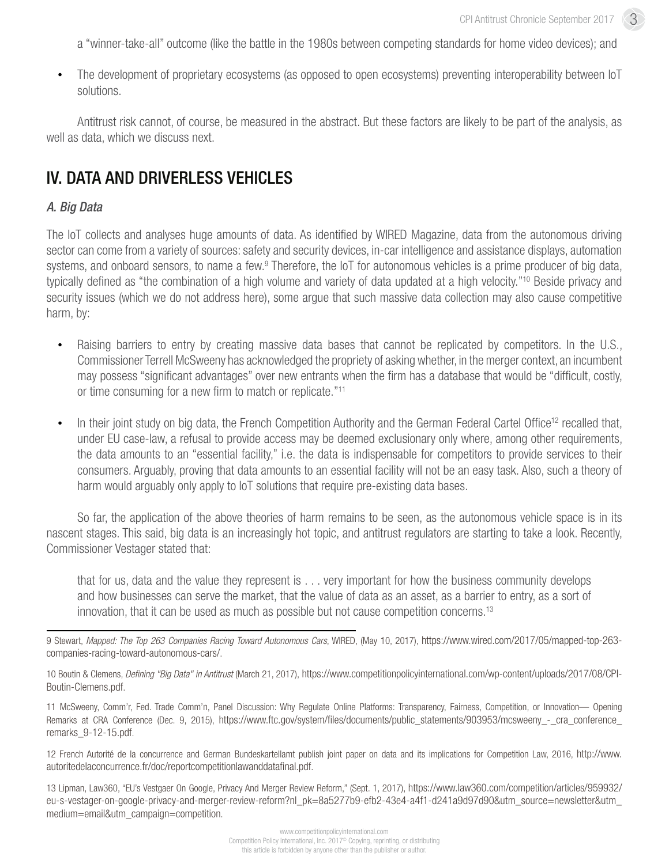a "winner-take-all" outcome (like the battle in the 1980s between competing standards for home video devices); and

• The development of proprietary ecosystems (as opposed to open ecosystems) preventing interoperability between IoT solutions.

Antitrust risk cannot, of course, be measured in the abstract. But these factors are likely to be part of the analysis, as well as data, which we discuss next.

### IV. DATA AND DRIVERLESS VEHICLES

#### *A. Big Data*

The IoT collects and analyses huge amounts of data. As identified by WIRED Magazine, data from the autonomous driving sector can come from a variety of sources: safety and security devices, in-car intelligence and assistance displays, automation systems, and onboard sensors, to name a few.<sup>9</sup> Therefore, the IoT for autonomous vehicles is a prime producer of big data, typically defined as "the combination of a high volume and variety of data updated at a high velocity."10 Beside privacy and security issues (which we do not address here), some argue that such massive data collection may also cause competitive harm, by:

- Raising barriers to entry by creating massive data bases that cannot be replicated by competitors. In the U.S., Commissioner Terrell McSweeny has acknowledged the propriety of asking whether, in the merger context, an incumbent may possess "significant advantages" over new entrants when the firm has a database that would be "difficult, costly, or time consuming for a new firm to match or replicate."11
- In their joint study on big data, the French Competition Authority and the German Federal Cartel Office<sup>12</sup> recalled that, under EU case-law, a refusal to provide access may be deemed exclusionary only where, among other requirements, the data amounts to an "essential facility," i.e. the data is indispensable for competitors to provide services to their consumers. Arguably, proving that data amounts to an essential facility will not be an easy task. Also, such a theory of harm would arguably only apply to IoT solutions that require pre-existing data bases.

So far, the application of the above theories of harm remains to be seen, as the autonomous vehicle space is in its nascent stages. This said, big data is an increasingly hot topic, and antitrust regulators are starting to take a look. Recently, Commissioner Vestager stated that:

that for us, data and the value they represent is . . . very important for how the business community develops and how businesses can serve the market, that the value of data as an asset, as a barrier to entry, as a sort of innovation, that it can be used as much as possible but not cause competition concerns.<sup>13</sup>

9 Stewart, *Mapped: The Top 263 Companies Racing Toward Autonomous Cars*, WIRED, (May 10, 2017), [https://www.wired.com/2017/05/mapped-top-263](https://www.wired.com/2017/05/mapped-top-263-companies-racing-toward-autonomous-cars/) [companies-racing-toward-autonomous-cars/](https://www.wired.com/2017/05/mapped-top-263-companies-racing-toward-autonomous-cars/).

10 Boutin & Clemens, *Defining "Big Data" in Antitrust* (March 21, 2017), [https://www.competitionpolicyinternational.com/wp-content/uploads/2017/08/CPI-](https://www.competitionpolicyinternational.com/wp-content/uploads/2017/08/CPI-Boutin-Clemens.pdf)[Boutin-Clemens.pdf.](https://www.competitionpolicyinternational.com/wp-content/uploads/2017/08/CPI-Boutin-Clemens.pdf)

11 McSweeny, Comm'r, Fed. Trade Comm'n, Panel Discussion: Why Regulate Online Platforms: Transparency, Fairness, Competition, or Innovation— Opening Remarks at CRA Conference (Dec. 9, 2015), https://www.ftc.gov/system/files/documents/public\_statements/903953/mcsweeny - cra\_conference [remarks\\_9-12-15.pdf.](https://www.ftc.gov/system/files/documents/public_statements/903953/mcsweeny_-_cra_conference_remarks_9-12-15.pdf)

12 French Autorité de la concurrence and German Bundeskartellamt publish joint paper on data and its implications for Competition Law, 2016, [http://www.](http://www.autoritedelaconcurrence.fr/doc/reportcompetitionlawanddatafinal.pdf) [autoritedelaconcurrence.fr/doc/reportcompetitionlawanddatafinal.pdf.](http://www.autoritedelaconcurrence.fr/doc/reportcompetitionlawanddatafinal.pdf)

13 Lipman, Law360, "EU's Vestgaer On Google, Privacy And Merger Review Reform," (Sept. 1, 2017), [https://www.law360.com/competition/articles/959932/](https://www.law360.com/competition/articles/959932/eu-s-vestager-on-google-privacy-and-merger-review-reform?nl_pk=8a5277b9-efb2-43e4-a4f1-d241a9d97d90&utm_source=newsletter&utm_medium=email&utm_campaign=competition) [eu-s-vestager-on-google-privacy-and-merger-review-reform?nl\\_pk=8a5277b9-efb2-43e4-a4f1-d241a9d97d90&utm\\_source=newsletter&utm\\_](https://www.law360.com/competition/articles/959932/eu-s-vestager-on-google-privacy-and-merger-review-reform?nl_pk=8a5277b9-efb2-43e4-a4f1-d241a9d97d90&utm_source=newsletter&utm_medium=email&utm_campaign=competition) [medium=email&utm\\_campaign=competition](https://www.law360.com/competition/articles/959932/eu-s-vestager-on-google-privacy-and-merger-review-reform?nl_pk=8a5277b9-efb2-43e4-a4f1-d241a9d97d90&utm_source=newsletter&utm_medium=email&utm_campaign=competition).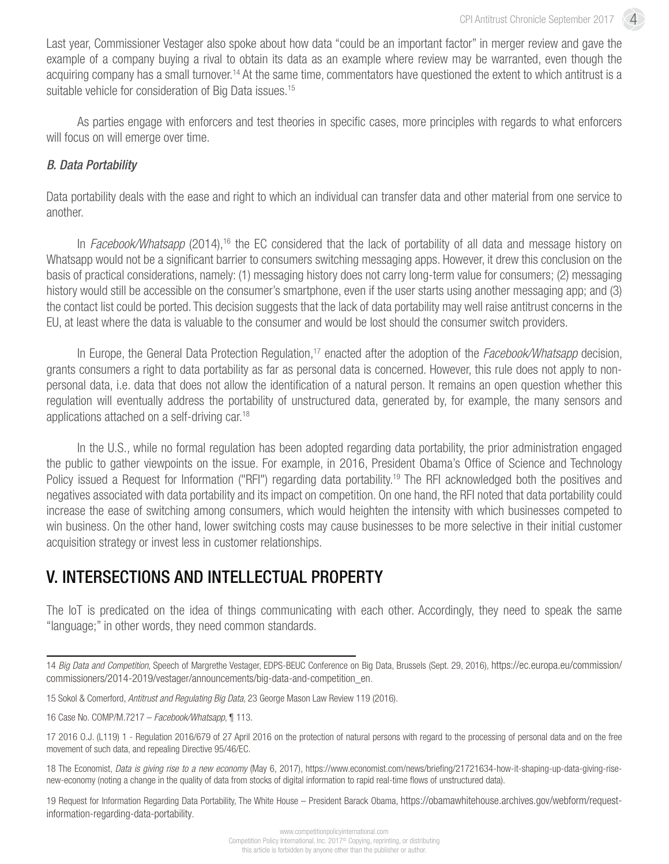4

Last year, Commissioner Vestager also spoke about how data "could be an important factor" in merger review and gave the example of a company buying a rival to obtain its data as an example where review may be warranted, even though the acquiring company has a small turnover.<sup>14</sup> At the same time, commentators have questioned the extent to which antitrust is a suitable vehicle for consideration of Big Data issues.<sup>15</sup>

As parties engage with enforcers and test theories in specific cases, more principles with regards to what enforcers will focus on will emerge over time.

#### *B. Data Portability*

Data portability deals with the ease and right to which an individual can transfer data and other material from one service to another.

In *Facebook/Whatsapp* (2014),<sup>16</sup> the EC considered that the lack of portability of all data and message history on Whatsapp would not be a significant barrier to consumers switching messaging apps. However, it drew this conclusion on the basis of practical considerations, namely: (1) messaging history does not carry long-term value for consumers; (2) messaging history would still be accessible on the consumer's smartphone, even if the user starts using another messaging app; and (3) the contact list could be ported. This decision suggests that the lack of data portability may well raise antitrust concerns in the EU, at least where the data is valuable to the consumer and would be lost should the consumer switch providers.

In Europe, the General Data Protection Regulation,<sup>17</sup> enacted after the adoption of the *Facebook/Whatsapp* decision, grants consumers a right to data portability as far as personal data is concerned. However, this rule does not apply to nonpersonal data, i.e. data that does not allow the identification of a natural person. It remains an open question whether this regulation will eventually address the portability of unstructured data, generated by, for example, the many sensors and applications attached on a self-driving car.18

In the U.S., while no formal regulation has been adopted regarding data portability, the prior administration engaged the public to gather viewpoints on the issue. For example, in 2016, President Obama's Office of Science and Technology Policy issued a Request for Information ("RFI") regarding data portability.<sup>19</sup> The RFI acknowledged both the positives and negatives associated with data portability and its impact on competition. On one hand, the RFI noted that data portability could increase the ease of switching among consumers, which would heighten the intensity with which businesses competed to win business. On the other hand, lower switching costs may cause businesses to be more selective in their initial customer acquisition strategy or invest less in customer relationships.

### V. INTERSECTIONS AND INTELLECTUAL PROPERTY

The IoT is predicated on the idea of things communicating with each other. Accordingly, they need to speak the same "language;" in other words, they need common standards.

19 Request for Information Regarding Data Portability, The White House – President Barack Obama, [https://obamawhitehouse.archives.gov/webform/request](https://obamawhitehouse.archives.gov/webform/request-information-regarding-data-portability)[information-regarding-data-portability.](https://obamawhitehouse.archives.gov/webform/request-information-regarding-data-portability)

<sup>14</sup> *Big Data and Competition*, Speech of Margrethe Vestager, EDPS-BEUC Conference on Big Data, Brussels (Sept. 29, 2016), [https://ec.europa.eu/commission/](https://ec.europa.eu/commission/commissioners/2014-2019/vestager/announcements/big-data-and-competition_en) [commissioners/2014-2019/vestager/announcements/big-data-and-competition\\_en.](https://ec.europa.eu/commission/commissioners/2014-2019/vestager/announcements/big-data-and-competition_en)

<sup>15</sup> Sokol & Comerford, *Antitrust and Regulating Big Data*, 23 George Mason Law Review 119 (2016).

<sup>16</sup> Case No. COMP/M.7217 – *Facebook/Whatsapp*, ¶ 113.

<sup>17 2016</sup> O.J. (L119) 1 - Regulation 2016/679 of 27 April 2016 on the protection of natural persons with regard to the processing of personal data and on the free movement of such data, and repealing Directive 95/46/EC.

<sup>18</sup> The Economist, *Data is giving rise to a new economy* (May 6, 2017), https://www.economist.com/news/briefing/21721634-how-it-shaping-up-data-giving-risenew-economy (noting a change in the quality of data from stocks of digital information to rapid real-time flows of unstructured data).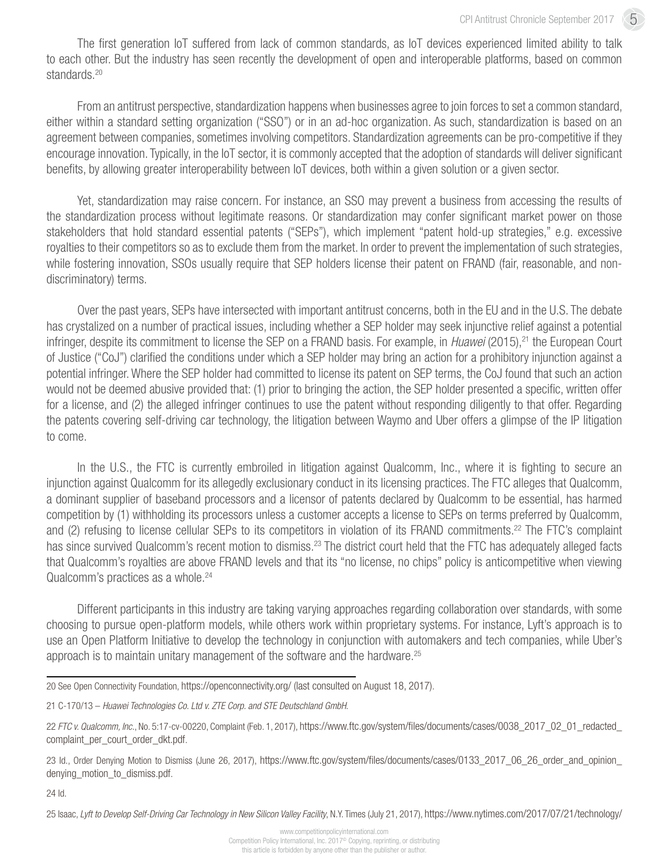5

The first generation IoT suffered from lack of common standards, as IoT devices experienced limited ability to talk to each other. But the industry has seen recently the development of open and interoperable platforms, based on common standards.<sup>20</sup>

From an antitrust perspective, standardization happens when businesses agree to join forces to set a common standard, either within a standard setting organization ("SSO") or in an ad-hoc organization. As such, standardization is based on an agreement between companies, sometimes involving competitors. Standardization agreements can be pro-competitive if they encourage innovation. Typically, in the IoT sector, it is commonly accepted that the adoption of standards will deliver significant benefits, by allowing greater interoperability between IoT devices, both within a given solution or a given sector.

Yet, standardization may raise concern. For instance, an SSO may prevent a business from accessing the results of the standardization process without legitimate reasons. Or standardization may confer significant market power on those stakeholders that hold standard essential patents ("SEPs"), which implement "patent hold-up strategies," e.g. excessive royalties to their competitors so as to exclude them from the market. In order to prevent the implementation of such strategies, while fostering innovation, SSOs usually require that SEP holders license their patent on FRAND (fair, reasonable, and nondiscriminatory) terms.

Over the past years, SEPs have intersected with important antitrust concerns, both in the EU and in the U.S. The debate has crystalized on a number of practical issues, including whether a SEP holder may seek injunctive relief against a potential infringer, despite its commitment to license the SEP on a FRAND basis. For example, in *Huawei* (2015), <sup>21</sup> the European Court of Justice ("CoJ") clarified the conditions under which a SEP holder may bring an action for a prohibitory injunction against a potential infringer. Where the SEP holder had committed to license its patent on SEP terms, the CoJ found that such an action would not be deemed abusive provided that: (1) prior to bringing the action, the SEP holder presented a specific, written offer for a license, and (2) the alleged infringer continues to use the patent without responding diligently to that offer. Regarding the patents covering self-driving car technology, the litigation between Waymo and Uber offers a glimpse of the IP litigation to come.

In the U.S., the FTC is currently embroiled in litigation against Qualcomm, Inc., where it is fighting to secure an injunction against Qualcomm for its allegedly exclusionary conduct in its licensing practices. The FTC alleges that Qualcomm, a dominant supplier of baseband processors and a licensor of patents declared by Qualcomm to be essential, has harmed competition by (1) withholding its processors unless a customer accepts a license to SEPs on terms preferred by Qualcomm, and (2) refusing to license cellular SEPs to its competitors in violation of its FRAND commitments.<sup>22</sup> The FTC's complaint has since survived Qualcomm's recent motion to dismiss.<sup>23</sup> The district court held that the FTC has adequately alleged facts that Qualcomm's royalties are above FRAND levels and that its "no license, no chips" policy is anticompetitive when viewing Qualcomm's practices as a whole.<sup>24</sup>

Different participants in this industry are taking varying approaches regarding collaboration over standards, with some choosing to pursue open-platform models, while others work within proprietary systems. For instance, Lyft's approach is to use an Open Platform Initiative to develop the technology in conjunction with automakers and tech companies, while Uber's approach is to maintain unitary management of the software and the hardware.<sup>25</sup>

24 Id.

25 Isaac, *Lyft to Develop Self-Driving Car Technology in New Silicon Valley Facility*, N.Y. Times (July 21, 2017), [https://www.nytimes.com/2017/07/21/technology/](https://www.nytimes.com/2017/07/21/technology/lyft-self-driving-car-technology.html)

<sup>20</sup> See Open Connectivity Foundation, [https://openconnectivity.org/ \(last consulted on August 18, 2017\).](https://openconnectivity.org/ (last consulted on August 18, 2017))

<sup>21</sup> C-170/13 – *Huawei Technologies Co. Ltd v. ZTE Corp. and STE Deutschland GmbH*.

<sup>22</sup> *FTC v. Qualcomm, Inc.*, No. 5:17-cv-00220, Complaint (Feb. 1, 2017), [https://www.ftc.gov/system/files/documents/cases/0038\\_2017\\_02\\_01\\_redacted\\_](https://www.ftc.gov/system/files/documents/cases/0038_2017_02_01_redacted_complaint_per_court_order_dkt.pdf) [complaint\\_per\\_court\\_order\\_dkt.pdf.](https://www.ftc.gov/system/files/documents/cases/0038_2017_02_01_redacted_complaint_per_court_order_dkt.pdf)

<sup>23</sup> Id., Order Denying Motion to Dismiss (June 26, 2017), [https://www.ftc.gov/system/files/documents/cases/0133\\_2017\\_06\\_26\\_order\\_and\\_opinion\\_](https://www.ftc.gov/system/files/documents/cases/0133_2017_06_26_order_and_opinion_denying_motion_to_dismiss.pdf) [denying\\_motion\\_to\\_dismiss.pdf](https://www.ftc.gov/system/files/documents/cases/0133_2017_06_26_order_and_opinion_denying_motion_to_dismiss.pdf).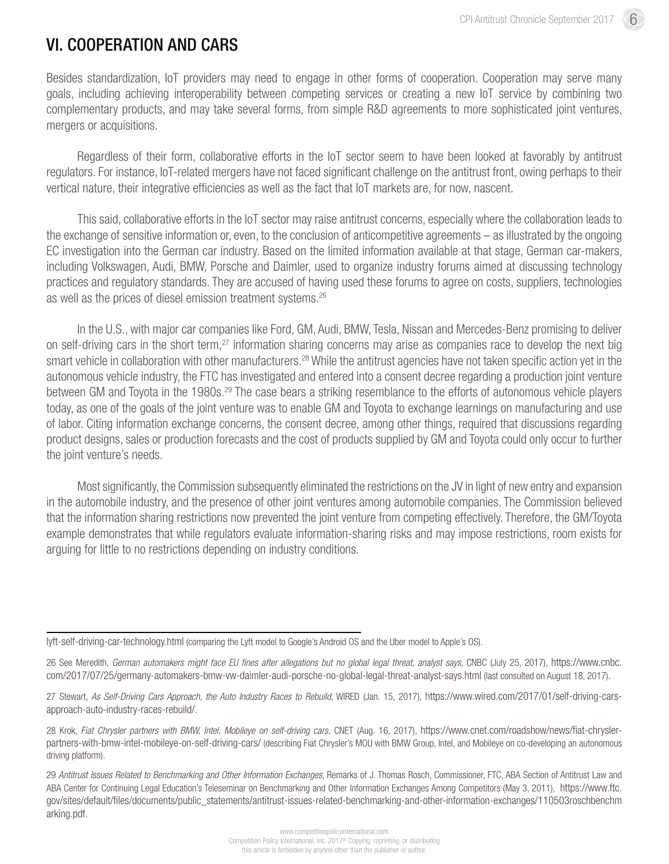# VI. COOPERATION AND CARS

Besides standardization, IoT providers may need to engage in other forms of cooperation. Cooperation may serve many goals, including achieving interoperability between competing services or creating a new IoT service by combining two complementary products, and may take several forms, from simple R&D agreements to more sophisticated joint ventures, mergers or acquisitions.

Regardless of their form, collaborative efforts in the IoT sector seem to have been looked at favorably by antitrust regulators. For instance, IoT-related mergers have not faced significant challenge on the antitrust front, owing perhaps to their vertical nature, their integrative efficiencies as well as the fact that IoT markets are, for now, nascent.

This said, collaborative efforts in the IoT sector may raise antitrust concerns, especially where the collaboration leads to the exchange of sensitive information or, even, to the conclusion of anticompetitive agreements – as illustrated by the ongoing EC investigation into the German car industry. Based on the limited information available at that stage, German car-makers, including Volkswagen, Audi, BMW, Porsche and Daimler, used to organize industry forums aimed at discussing technology practices and regulatory standards. They are accused of having used these forums to agree on costs, suppliers, technologies as well as the prices of diesel emission treatment systems.<sup>26</sup>

In the U.S., with major car companies like Ford, GM, Audi, BMW, Tesla, Nissan and Mercedes-Benz promising to deliver on self-driving cars in the short term,<sup>27</sup> information sharing concerns may arise as companies race to develop the next big smart vehicle in collaboration with other manufacturers.<sup>28</sup> While the antitrust agencies have not taken specific action yet in the autonomous vehicle industry, the FTC has investigated and entered into a consent decree regarding a production joint venture between GM and Toyota in the 1980s.<sup>29</sup> The case bears a striking resemblance to the efforts of autonomous vehicle players today, as one of the goals of the joint venture was to enable GM and Toyota to exchange learnings on manufacturing and use of labor. Citing information exchange concerns, the consent decree, among other things, required that discussions regarding product designs, sales or production forecasts and the cost of products supplied by GM and Toyota could only occur to further the joint venture's needs.

Most significantly, the Commission subsequently eliminated the restrictions on the JV in light of new entry and expansion in the automobile industry, and the presence of other joint ventures among automobile companies. The Commission believed that the information sharing restrictions now prevented the joint venture from competing effectively. Therefore, the GM/Toyota example demonstrates that while regulators evaluate information-sharing risks and may impose restrictions, room exists for arguing for little to no restrictions depending on industry conditions.

[lyft-self-driving-car-technology.html](https://www.nytimes.com/2017/07/21/technology/lyft-self-driving-car-technology.html) (comparing the Lyft model to Google's Android OS and the Uber model to Apple's OS).

<sup>26</sup> See Meredith, *German automakers might face EU fines after allegations but no global legal threat, analyst says*, CNBC (July 25, 2017), [https://www.cnbc.](https://www.cnbc.com/2017/07/25/germany-automakers-bmw-vw-daimler-audi-porsche-no-global-legal-threat-analyst-says.html) [com/2017/07/25/germany-automakers-bmw-vw-daimler-audi-porsche-no-global-legal-threat-analyst-says.html](https://www.cnbc.com/2017/07/25/germany-automakers-bmw-vw-daimler-audi-porsche-no-global-legal-threat-analyst-says.html) (last consulted on August 18, 2017).

<sup>27</sup> Stewart, As Self-Driving Cars Approach, the Auto Industry Races to Rebuild, WIRED (Jan. 15, 2017), [https://www.wired.com/2017/01/self-driving-cars](https://www.wired.com/2017/01/self-driving-cars-approach-auto-industry-races-rebuild/)[approach-auto-industry-races-rebuild/](https://www.wired.com/2017/01/self-driving-cars-approach-auto-industry-races-rebuild/).

<sup>28</sup> Krok, *Fiat Chrysler partners with BMW, Intel, Mobileye on self-driving cars,* CNET (Aug. 16, 2017), [https://www.cnet.com/roadshow/news/fiat-chrysler](https://www.cnet.com/roadshow/news/fiat-chrysler-partners-with-bmw-intel-mobileye-on-self-driving-cars/)[partners-with-bmw-intel-mobileye-on-self-driving-cars/](https://www.cnet.com/roadshow/news/fiat-chrysler-partners-with-bmw-intel-mobileye-on-self-driving-cars/) (describing Fiat Chrysler's MOU with BMW Group, Intel, and Mobileye on co-developing an autonomous driving platform).

<sup>29</sup> *Antitrust Issues Related to Benchmarking and Other Information Exchanges*, Remarks of J. Thomas Rosch, Commissioner, FTC, ABA Section of Antitrust Law and ABA Center for Continuing Legal Education's Teleseminar on Benchmarking and Other Information Exchanges Among Competitors (May 3, 2011), [https://www.ftc.](https://www.ftc.gov/sites/default/files/documents/public_statements/antitrust-issues-related-benchmarking-and-other-information-exchanges/110503roschbenchmarking.pdf) [gov/sites/default/files/documents/public\\_statements/antitrust-issues-related-benchmarking-and-other-information-exchanges/110503roschbenchm](https://www.ftc.gov/sites/default/files/documents/public_statements/antitrust-issues-related-benchmarking-and-other-information-exchanges/110503roschbenchmarking.pdf) [arking.pdf](https://www.ftc.gov/sites/default/files/documents/public_statements/antitrust-issues-related-benchmarking-and-other-information-exchanges/110503roschbenchmarking.pdf).